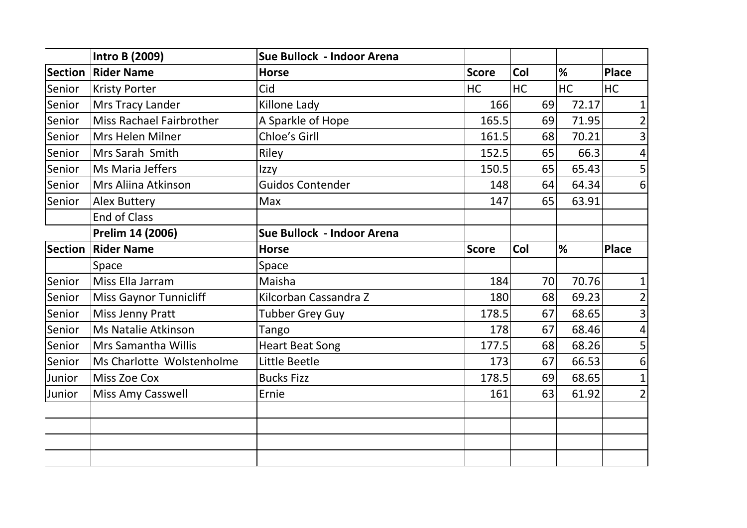|                | <b>Intro B (2009)</b>           | Sue Bullock - Indoor Arena |              |           |       |                |
|----------------|---------------------------------|----------------------------|--------------|-----------|-------|----------------|
| <b>Section</b> | <b>Rider Name</b>               | <b>Horse</b>               | <b>Score</b> | Col       | %     | <b>Place</b>   |
| Senior         | <b>Kristy Porter</b>            | Cid                        | HC           | <b>HC</b> | HC    | HC             |
| Senior         | Mrs Tracy Lander                | Killone Lady               | 166          | 69        | 72.17 | 1              |
| Senior         | <b>Miss Rachael Fairbrother</b> | A Sparkle of Hope          | 165.5        | 69        | 71.95 | $\overline{2}$ |
| Senior         | Mrs Helen Milner                | Chloe's Girll              | 161.5        | 68        | 70.21 | 3              |
| Senior         | Mrs Sarah Smith                 | Riley                      | 152.5        | 65        | 66.3  | 4              |
| Senior         | Ms Maria Jeffers                | Izzy                       | 150.5        | 65        | 65.43 | 5              |
| Senior         | Mrs Aliina Atkinson             | <b>Guidos Contender</b>    | 148          | 64        | 64.34 | $6\phantom{1}$ |
| Senior         | <b>Alex Buttery</b>             | Max                        | 147          | 65        | 63.91 |                |
|                | <b>End of Class</b>             |                            |              |           |       |                |
|                | Prelim 14 (2006)                | Sue Bullock - Indoor Arena |              |           |       |                |
| <b>Section</b> | <b>Rider Name</b>               | <b>Horse</b>               | <b>Score</b> | Col       | %     | <b>Place</b>   |
|                | <b>Space</b>                    | Space                      |              |           |       |                |
| Senior         | Miss Ella Jarram                | Maisha                     | 184          | 70        | 70.76 | 1              |
| Senior         | Miss Gaynor Tunnicliff          | Kilcorban Cassandra Z      | 180          | 68        | 69.23 | $\overline{2}$ |
| Senior         | Miss Jenny Pratt                | <b>Tubber Grey Guy</b>     | 178.5        | 67        | 68.65 | $\overline{3}$ |
| Senior         | Ms Natalie Atkinson             | Tango                      | 178          | 67        | 68.46 | 4              |
| Senior         | Mrs Samantha Willis             | <b>Heart Beat Song</b>     | 177.5        | 68        | 68.26 | 5              |
| Senior         | Ms Charlotte Wolstenholme       | Little Beetle              | 173          | 67        | 66.53 | 6              |
| Junior         | <b>Miss Zoe Cox</b>             | <b>Bucks Fizz</b>          | 178.5        | 69        | 68.65 | $\mathbf{1}$   |
| Junior         | <b>Miss Amy Casswell</b>        | Ernie                      | 161          | 63        | 61.92 | 2 <sub>1</sub> |
|                |                                 |                            |              |           |       |                |
|                |                                 |                            |              |           |       |                |
|                |                                 |                            |              |           |       |                |
|                |                                 |                            |              |           |       |                |